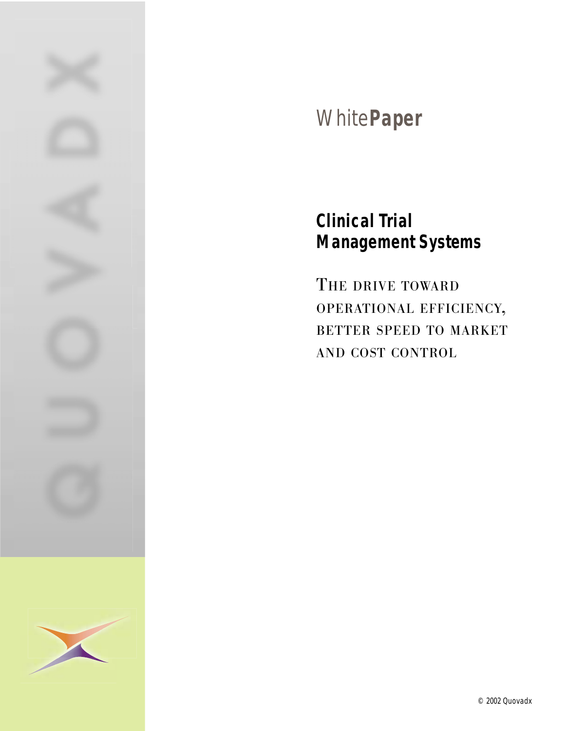

# White**Paper**

## **Clinical Trial Management Systems**

THE DRIVE TOWARD OPERATIONAL EFFICIENCY, BETTER SPEED TO MARKET AND COST CONTROL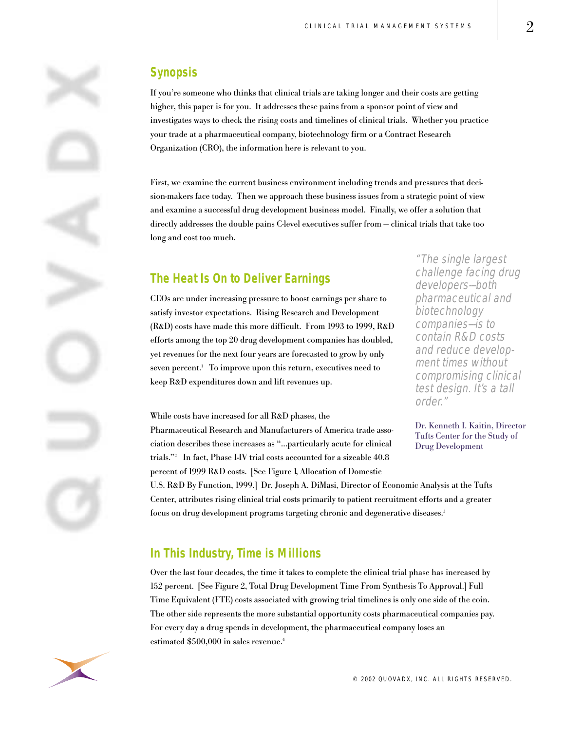#### **Synopsis**

If you're someone who thinks that clinical trials are taking longer and their costs are getting higher, this paper is for you. It addresses these pains from a sponsor point of view and investigates ways to check the rising costs and timelines of clinical trials. Whether you practice your trade at a pharmaceutical company, biotechnology firm or a Contract Research Organization (CRO), the information here is relevant to you.

First, we examine the current business environment including trends and pressures that decision-makers face today. Then we approach these business issues from a strategic point of view and examine a successful drug development business model. Finally, we offer a solution that directly addresses the double pains C-level executives suffer from -- clinical trials that take too long and cost too much.

#### **The Heat Is On to Deliver Earnings**

CEOs are under increasing pressure to boost earnings per share to satisfy investor expectations. Rising Research and Development (R&D) costs have made this more difficult. From 1993 to 1999, R&D efforts among the top 20 drug development companies has doubled, yet revenues for the next four years are forecasted to grow by only seven percent.<sup>1</sup> To improve upon this return, executives need to keep R&D expenditures down and lift revenues up.

While costs have increased for all R&D phases, the

Pharmaceutical Research and Manufacturers of America trade association describes these increases as "…particularly acute for clinical trials."2 In fact, Phase I-IV trial costs accounted for a sizeable 40.8 percent of 1999 R&D costs. [See Figure 1, Allocation of Domestic

U.S. R&D By Function, 1999.] Dr. Joseph A. DiMasi, Director of Economic Analysis at the Tufts Center, attributes rising clinical trial costs primarily to patient recruitment efforts and a greater focus on drug development programs targeting chronic and degenerative diseases.<sup>3</sup>

#### **In This Industry, Time is Millions**

Over the last four decades, the time it takes to complete the clinical trial phase has increased by 152 percent. [See Figure 2, Total Drug Development Time From Synthesis To Approval.] Full Time Equivalent (FTE) costs associated with growing trial timelines is only one side of the coin. The other side represents the more substantial opportunity costs pharmaceutical companies pay. For every day a drug spends in development, the pharmaceutical company loses an estimated \$500,000 in sales revenue.<sup>4</sup>



"The single largest challenge facing drug developers-both pharmaceutical and biotechnology companies-is to contain R&D costs and reduce development times without compromising clinical test design. It's a tall order."

Dr. Kenneth I. Kaitin, Director Tufts Center for the Study of Drug Development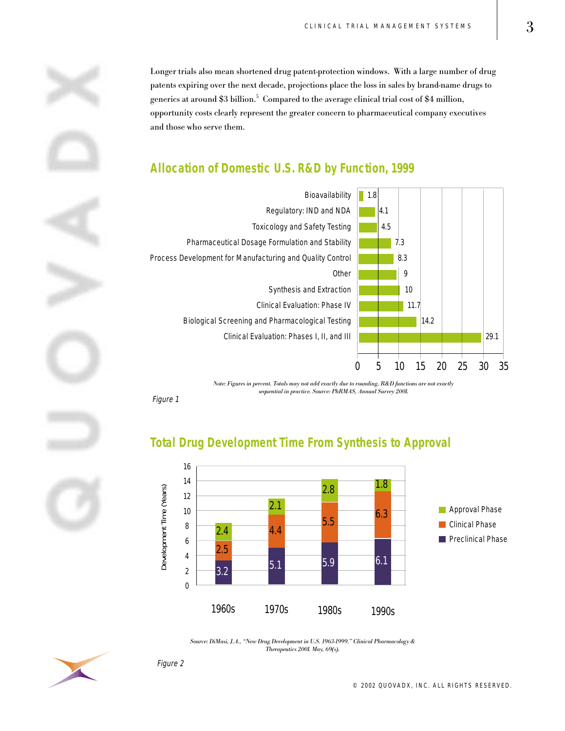Longer trials also mean shortened drug patent-protection windows. With a large number of drug patents expiring over the next decade, projections place the loss in sales by brand-name drugs to generics at around \$3 billion. $^5$  Compared to the average clinical trial cost of \$4 million, opportunity costs clearly represent the greater concern to pharmaceutical company executives and those who serve them.

### **Allocation of Domestic U.S. R&D by Function, 1999**



Note: Figures in percent. Totals may not add exactly due to rounding. R&D functions are not exactly sequential in practice. Source: PhRMAS, Annual Survey 2001.

Figure 1

### **Total Drug Development Time From Synthesis to Approval**



Source: DiMasi, J.A., "New Drug Development in U.S. 1963-1999." Clinical Pharmacology & Therapeutics 2001. May, 69(s).



Figure 2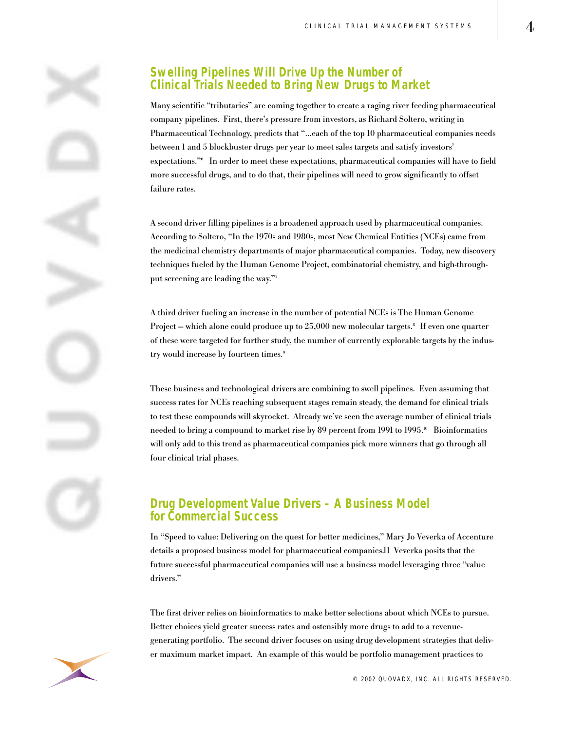

#### **Swelling Pipelines Will Drive Up the Number of Clinical Trials Needed to Bring New Drugs to Market**

Many scientific "tributaries" are coming together to create a raging river feeding pharmaceutical company pipelines. First, there's pressure from investors, as Richard Soltero, writing in Pharmaceutical Technology, predicts that "…each of the top 10 pharmaceutical companies needs between 1 and 5 blockbuster drugs per year to meet sales targets and satisfy investors' expectations."6 In order to meet these expectations, pharmaceutical companies will have to field more successful drugs, and to do that, their pipelines will need to grow significantly to offset failure rates.

A second driver filling pipelines is a broadened approach used by pharmaceutical companies. According to Soltero, "In the 1970s and 1980s, most New Chemical Entities (NCEs) came from the medicinal chemistry departments of major pharmaceutical companies. Today, new discovery techniques fueled by the Human Genome Project, combinatorial chemistry, and high-throughput screening are leading the way."7

A third driver fueling an increase in the number of potential NCEs is The Human Genome Project –- which alone could produce up to  $25,000$  new molecular targets.<sup>8</sup> If even one quarter of these were targeted for further study, the number of currently explorable targets by the industry would increase by fourteen times.<sup>9</sup>

These business and technological drivers are combining to swell pipelines. Even assuming that success rates for NCEs reaching subsequent stages remain steady, the demand for clinical trials to test these compounds will skyrocket. Already we've seen the average number of clinical trials needed to bring a compound to market rise by 89 percent from 1991 to 1995.<sup>10</sup> Bioinformatics will only add to this trend as pharmaceutical companies pick more winners that go through all four clinical trial phases.

#### **Drug Development Value Drivers – A Business Model for Commercial Success**

In "Speed to value: Delivering on the quest for better medicines," Mary Jo Veverka of Accenture details a proposed business model for pharmaceutical companies.11 Veverka posits that the future successful pharmaceutical companies will use a business model leveraging three "value drivers."

The first driver relies on bioinformatics to make better selections about which NCEs to pursue. Better choices yield greater success rates and ostensibly more drugs to add to a revenuegenerating portfolio. The second driver focuses on using drug development strategies that deliver maximum market impact. An example of this would be portfolio management practices to

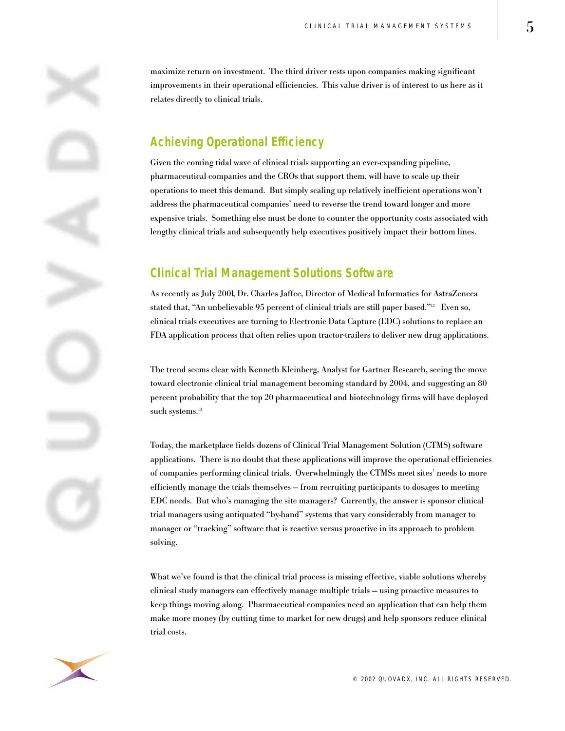maximize return on investment. The third driver rests upon companies making significant improvements in their operational efficiencies. This value driver is of interest to us here as it relates directly to clinical trials.

#### **Achieving Operational Efficiency**

Given the coming tidal wave of clinical trials supporting an ever-expanding pipeline, pharmaceutical companies and the CROs that support them, will have to scale up their operations to meet this demand. But simply scaling up relatively inefficient operations won't address the pharmaceutical companies' need to reverse the trend toward longer and more expensive trials. Something else must be done to counter the opportunity costs associated with lengthy clinical trials and subsequently help executives positively impact their bottom lines.

#### **Clinical Trial Management Solutions Software**

As recently as July 2001, Dr. Charles Jaffee, Director of Medical Informatics for AstraZeneca stated that, "An unbelievable 95 percent of clinical trials are still paper based."<sup>12</sup> Even so, clinical trials executives are turning to Electronic Data Capture (EDC) solutions to replace an FDA application process that often relies upon tractor-trailers to deliver new drug applications.

The trend seems clear with Kenneth Kleinberg, Analyst for Gartner Research, seeing the move toward electronic clinical trial management becoming standard by 2004, and suggesting an 80 percent probability that the top 20 pharmaceutical and biotechnology firms will have deployed such systems.<sup>13</sup>

Today, the marketplace fields dozens of Clinical Trial Management Solution (CTMS) software applications. There is no doubt that these applications will improve the operational efficiencies of companies performing clinical trials. Overwhelmingly the CTMSs meet sites' needs to more efficiently manage the trials themselves -- from recruiting participants to dosages to meeting EDC needs. But who's managing the site managers? Currently, the answer is sponsor clinical trial managers using antiquated "by-hand" systems that vary considerably from manager to manager or "tracking" software that is reactive versus proactive in its approach to problem solving.

What we've found is that the clinical trial process is missing effective, viable solutions whereby clinical study managers can effectively manage multiple trials – using proactive measures to keep things moving along. Pharmaceutical companies need an application that can help them make more money (by cutting time to market for new drugs) and help sponsors reduce clinical trial costs.

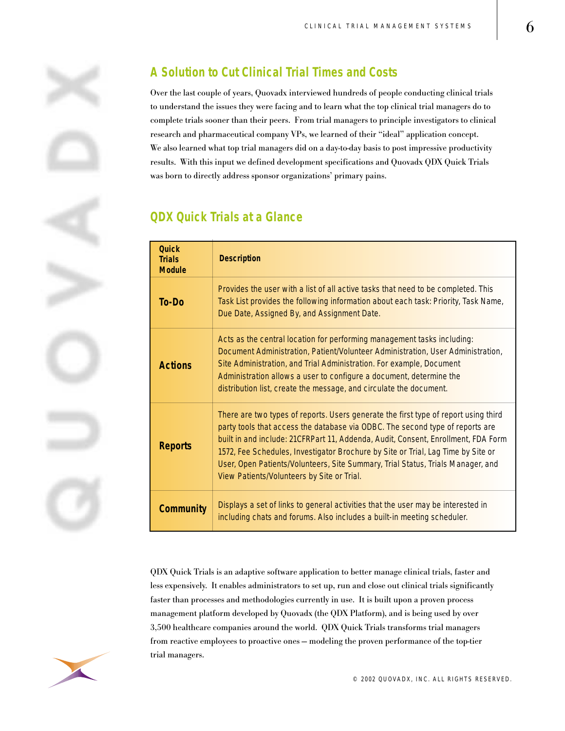

## **A Solution to Cut Clinical Trial Times and Costs**

Over the last couple of years, Quovadx interviewed hundreds of people conducting clinical trials to understand the issues they were facing and to learn what the top clinical trial managers do to complete trials sooner than their peers. From trial managers to principle investigators to clinical research and pharmaceutical company VPs, we learned of their "ideal" application concept. We also learned what top trial managers did on a day-to-day basis to post impressive productivity results. With this input we defined development specifications and Quovadx QDX Quick Trials was born to directly address sponsor organizations' primary pains.

#### **QDX Quick Trials at a Glance**

| <b>Quick</b><br><b>Trials</b><br><b>Module</b> | <b>Description</b>                                                                                                                                                                                                                                                                                                                                                                                                                                                             |
|------------------------------------------------|--------------------------------------------------------------------------------------------------------------------------------------------------------------------------------------------------------------------------------------------------------------------------------------------------------------------------------------------------------------------------------------------------------------------------------------------------------------------------------|
| To-Do                                          | Provides the user with a list of all active tasks that need to be completed. This<br>Task List provides the following information about each task: Priority, Task Name,<br>Due Date, Assigned By, and Assignment Date.                                                                                                                                                                                                                                                         |
| <b>Actions</b>                                 | Acts as the central location for performing management tasks including:<br>Document Administration, Patient/Volunteer Administration, User Administration,<br>Site Administration, and Trial Administration. For example, Document<br>Administration allows a user to configure a document, determine the<br>distribution list, create the message, and circulate the document.                                                                                                |
| <b>Reports</b>                                 | There are two types of reports. Users generate the first type of report using third<br>party tools that access the database via ODBC. The second type of reports are<br>built in and include: 21CFRPart 11, Addenda, Audit, Consent, Enrollment, FDA Form<br>1572, Fee Schedules, Investigator Brochure by Site or Trial, Lag Time by Site or<br>User, Open Patients/Volunteers, Site Summary, Trial Status, Trials Manager, and<br>View Patients/Volunteers by Site or Trial. |
| <b>Community</b>                               | Displays a set of links to general activities that the user may be interested in<br>including chats and forums. Also includes a built-in meeting scheduler.                                                                                                                                                                                                                                                                                                                    |

QDX Quick Trials is an adaptive software application to better manage clinical trials, faster and less expensively. It enables administrators to set up, run and close out clinical trials significantly faster than processes and methodologies currently in use. It is built upon a proven process management platform developed by Quovadx (the QDX Platform), and is being used by over 3,500 healthcare companies around the world. QDX Quick Trials transforms trial managers from reactive employees to proactive ones – modeling the proven performance of the top-tier trial managers.

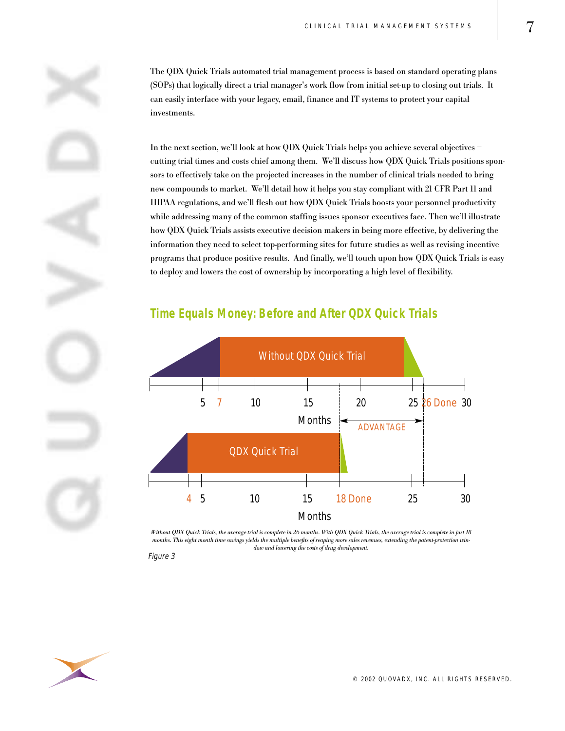The QDX Quick Trials automated trial management process is based on standard operating plans (SOPs) that logically direct a trial manager's work flow from initial set-up to closing out trials. It can easily interface with your legacy, email, finance and IT systems to protect your capital investments.

In the next section, we'll look at how QDX Quick Trials helps you achieve several objectives – cutting trial times and costs chief among them. We'll discuss how QDX Quick Trials positions sponsors to effectively take on the projected increases in the number of clinical trials needed to bring new compounds to market. We'll detail how it helps you stay compliant with 21 CFR Part 11 and HIPAA regulations, and we'll flesh out how QDX Quick Trials boosts your personnel productivity while addressing many of the common staffing issues sponsor executives face. Then we'll illustrate how QDX Quick Trials assists executive decision makers in being more effective, by delivering the information they need to select top-performing sites for future studies as well as revising incentive programs that produce positive results. And finally, we'll touch upon how QDX Quick Trials is easy to deploy and lowers the cost of ownership by incorporating a high level of flexibility.

#### **Time Equals Money: Before and After QDX Quick Trials**



Without QDX Quick Trials, the average trial is complete in 26 months. With QDX Quick Trials, the average trial is complete in just 18 months. This eight month time savings yields the multiple benefits of reaping more sales revenues, extending the patent-protection window and lowering the costs of drug development.

Figure 3

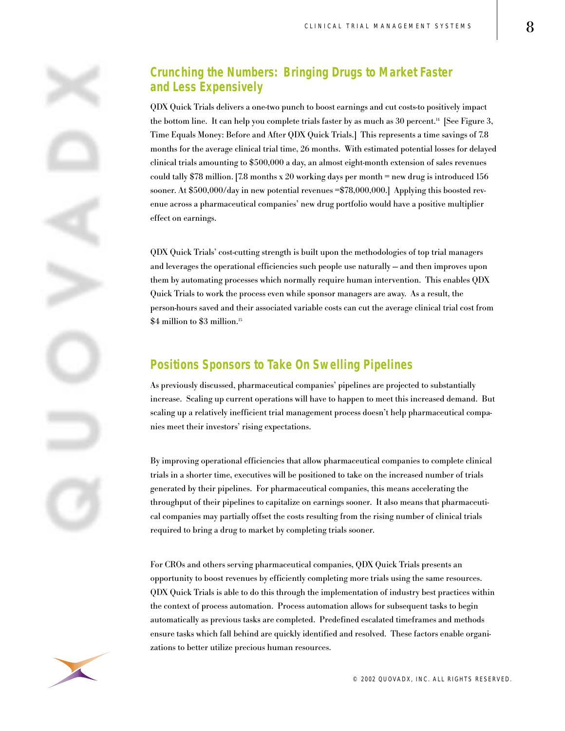#### **Crunching the Numbers: Bringing Drugs to Market Faster and Less Expensively**

QDX Quick Trials delivers a one-two punch to boost earnings and cut costs-to positively impact the bottom line. It can help you complete trials faster by as much as  $30$  percent.<sup>14</sup> [See Figure 3, Time Equals Money: Before and After QDX Quick Trials.] This represents a time savings of 7.8 months for the average clinical trial time, 26 months. With estimated potential losses for delayed clinical trials amounting to \$500,000 a day, an almost eight-month extension of sales revenues could tally \$78 million. [7.8 months x 20 working days per month  $=$  new drug is introduced 156 sooner. At \$500,000/day in new potential revenues =\$78,000,000.] Applying this boosted revenue across a pharmaceutical companies' new drug portfolio would have a positive multiplier effect on earnings.

QDX Quick Trials' cost-cutting strength is built upon the methodologies of top trial managers and leverages the operational efficiencies such people use naturally – and then improves upon them by automating processes which normally require human intervention. This enables QDX Quick Trials to work the process even while sponsor managers are away. As a result, the person-hours saved and their associated variable costs can cut the average clinical trial cost from \$4 million to \$3 million.<sup>15</sup>

#### **Positions Sponsors to Take On Swelling Pipelines**

As previously discussed, pharmaceutical companies' pipelines are projected to substantially increase. Scaling up current operations will have to happen to meet this increased demand. But scaling up a relatively inefficient trial management process doesn't help pharmaceutical companies meet their investors' rising expectations.

By improving operational efficiencies that allow pharmaceutical companies to complete clinical trials in a shorter time, executives will be positioned to take on the increased number of trials generated by their pipelines. For pharmaceutical companies, this means accelerating the throughput of their pipelines to capitalize on earnings sooner. It also means that pharmaceutical companies may partially offset the costs resulting from the rising number of clinical trials required to bring a drug to market by completing trials sooner.

For CROs and others serving pharmaceutical companies, QDX Quick Trials presents an opportunity to boost revenues by efficiently completing more trials using the same resources. QDX Quick Trials is able to do this through the implementation of industry best practices within the context of process automation. Process automation allows for subsequent tasks to begin automatically as previous tasks are completed. Predefined escalated timeframes and methods ensure tasks which fall behind are quickly identified and resolved. These factors enable organizations to better utilize precious human resources.

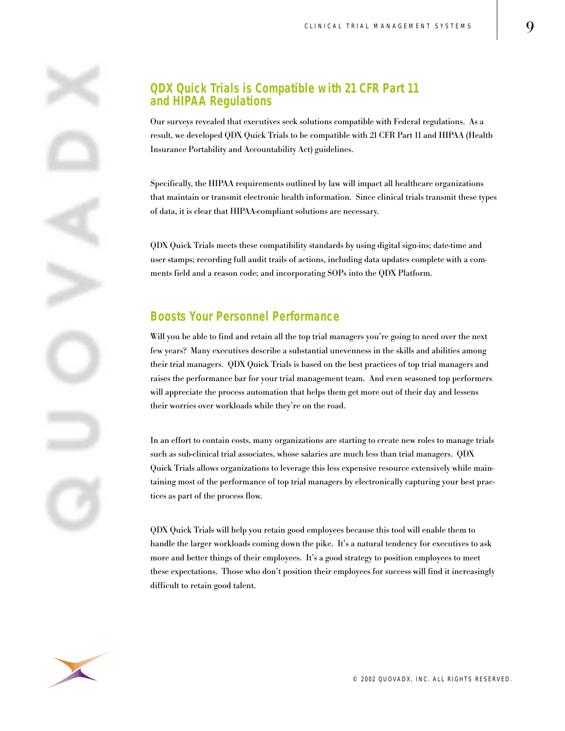#### **QDX Quick Trials is Compatible with 21 CFR Part 11 and HIPAA Regulations**

Our surveys revealed that executives seek solutions compatible with Federal regulations. As a result, we developed QDX Quick Trials to be compatible with 21 CFR Part 11 and HIPAA (Health Insurance Portability and Accountability Act) guidelines.

Specifically, the HIPAA requirements outlined by law will impact all healthcare organizations that maintain or transmit electronic health information. Since clinical trials transmit these types of data, it is clear that HIPAA-compliant solutions are necessary.

QDX Quick Trials meets these compatibility standards by using digital sign-ins; date-time and user stamps; recording full audit trails of actions, including data updates complete with a comments field and a reason code; and incorporating SOPs into the QDX Platform.

#### **Boosts Your Personnel Performance**

Will you be able to find and retain all the top trial managers you're going to need over the next few years? Many executives describe a substantial unevenness in the skills and abilities among their trial managers. QDX Quick Trials is based on the best practices of top trial managers and raises the performance bar for your trial management team. And even seasoned top performers will appreciate the process automation that helps them get more out of their day and lessens their worries over workloads while they're on the road.

In an effort to contain costs, many organizations are starting to create new roles to manage trials such as sub-clinical trial associates, whose salaries are much less than trial managers. QDX Quick Trials allows organizations to leverage this less expensive resource extensively while maintaining most of the performance of top trial managers by electronically capturing your best practices as part of the process flow.

QDX Quick Trials will help you retain good employees because this tool will enable them to handle the larger workloads coming down the pike. It's a natural tendency for executives to ask more and better things of their employees. It's a good strategy to position employees to meet these expectations. Those who don't position their employees for success will find it increasingly difficult to retain good talent.

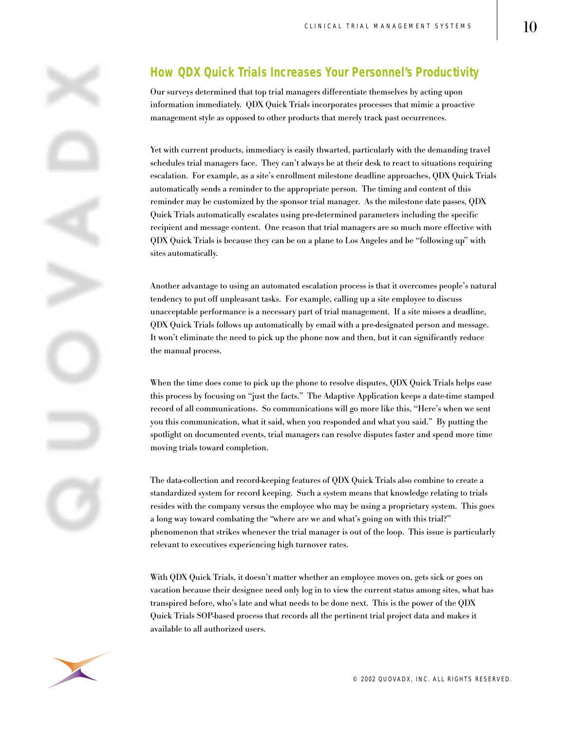### **How QDX Quick Trials Increases Your Personnel's Productivity**

Our surveys determined that top trial managers differentiate themselves by acting upon information immediately. QDX Quick Trials incorporates processes that mimic a proactive management style as opposed to other products that merely track past occurrences.

Yet with current products, immediacy is easily thwarted, particularly with the demanding travel schedules trial managers face. They can't always be at their desk to react to situations requiring escalation. For example, as a site's enrollment milestone deadline approaches, QDX Quick Trials automatically sends a reminder to the appropriate person. The timing and content of this reminder may be customized by the sponsor trial manager. As the milestone date passes, QDX Quick Trials automatically escalates using pre-determined parameters including the specific recipient and message content. One reason that trial managers are so much more effective with QDX Quick Trials is because they can be on a plane to Los Angeles and be "following up" with sites automatically.

Another advantage to using an automated escalation process is that it overcomes people's natural tendency to put off unpleasant tasks. For example, calling up a site employee to discuss unacceptable performance is a necessary part of trial management. If a site misses a deadline, QDX Quick Trials follows up automatically by email with a pre-designated person and message. It won't eliminate the need to pick up the phone now and then, but it can significantly reduce the manual process.

When the time does come to pick up the phone to resolve disputes, QDX Quick Trials helps ease this process by focusing on "just the facts." The Adaptive Application keeps a date-time stamped record of all communications. So communications will go more like this, "Here's when we sent you this communication, what it said, when you responded and what you said." By putting the spotlight on documented events, trial managers can resolve disputes faster and spend more time moving trials toward completion.

The data-collection and record-keeping features of QDX Quick Trials also combine to create a standardized system for record keeping. Such a system means that knowledge relating to trials resides with the company versus the employee who may be using a proprietary system. This goes a long way toward combating the "where are we and what's going on with this trial?" phenomenon that strikes whenever the trial manager is out of the loop. This issue is particularly relevant to executives experiencing high turnover rates.

With QDX Quick Trials, it doesn't matter whether an employee moves on, gets sick or goes on vacation because their designee need only log in to view the current status among sites, what has transpired before, who's late and what needs to be done next. This is the power of the QDX Quick Trials SOP-based process that records all the pertinent trial project data and makes it available to all authorized users.

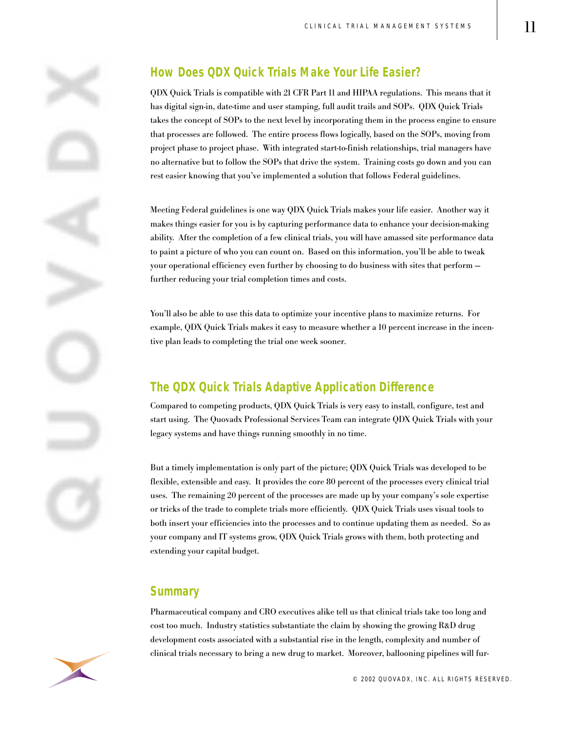

#### **How Does QDX Quick Trials Make Your Life Easier?**

QDX Quick Trials is compatible with 21 CFR Part 11 and HIPAA regulations. This means that it has digital sign-in, date-time and user stamping, full audit trails and SOPs. QDX Quick Trials takes the concept of SOPs to the next level by incorporating them in the process engine to ensure that processes are followed. The entire process flows logically, based on the SOPs, moving from project phase to project phase. With integrated start-to-finish relationships, trial managers have no alternative but to follow the SOPs that drive the system. Training costs go down and you can rest easier knowing that you've implemented a solution that follows Federal guidelines.

Meeting Federal guidelines is one way QDX Quick Trials makes your life easier. Another way it makes things easier for you is by capturing performance data to enhance your decision-making ability. After the completion of a few clinical trials, you will have amassed site performance data to paint a picture of who you can count on. Based on this information, you'll be able to tweak your operational efficiency even further by choosing to do business with sites that perform – further reducing your trial completion times and costs.

You'll also be able to use this data to optimize your incentive plans to maximize returns. For example, QDX Quick Trials makes it easy to measure whether a 10 percent increase in the incentive plan leads to completing the trial one week sooner.

#### **The QDX Quick Trials Adaptive Application Difference**

Compared to competing products, QDX Quick Trials is very easy to install, configure, test and start using. The Quovadx Professional Services Team can integrate QDX Quick Trials with your legacy systems and have things running smoothly in no time.

But a timely implementation is only part of the picture; QDX Quick Trials was developed to be flexible, extensible and easy. It provides the core 80 percent of the processes every clinical trial uses. The remaining 20 percent of the processes are made up by your company's sole expertise or tricks of the trade to complete trials more efficiently. QDX Quick Trials uses visual tools to both insert your efficiencies into the processes and to continue updating them as needed. So as your company and IT systems grow, QDX Quick Trials grows with them, both protecting and extending your capital budget.

#### **Summary**

Pharmaceutical company and CRO executives alike tell us that clinical trials take too long and cost too much. Industry statistics substantiate the claim by showing the growing R&D drug development costs associated with a substantial rise in the length, complexity and number of clinical trials necessary to bring a new drug to market. Moreover, ballooning pipelines will fur-

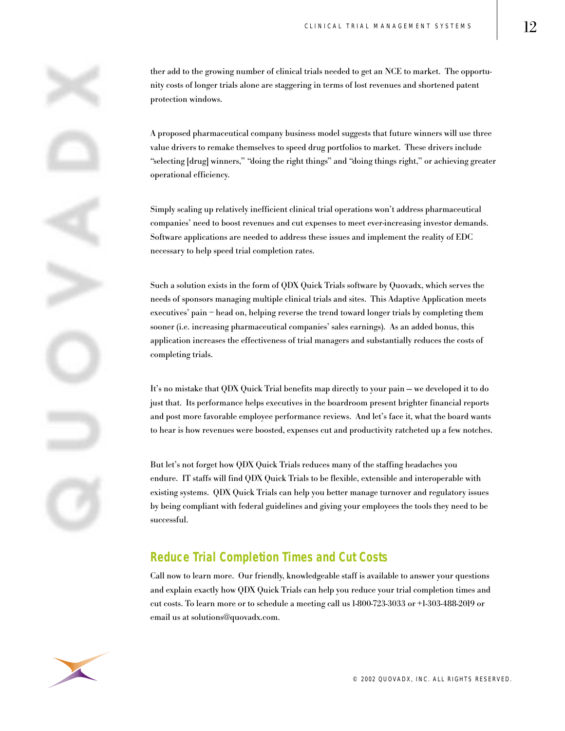ther add to the growing number of clinical trials needed to get an NCE to market. The opportunity costs of longer trials alone are staggering in terms of lost revenues and shortened patent protection windows.

A proposed pharmaceutical company business model suggests that future winners will use three value drivers to remake themselves to speed drug portfolios to market. These drivers include "selecting [drug] winners," "doing the right things" and "doing things right," or achieving greater operational efficiency.

Simply scaling up relatively inefficient clinical trial operations won't address pharmaceutical companies' need to boost revenues and cut expenses to meet ever-increasing investor demands. Software applications are needed to address these issues and implement the reality of EDC necessary to help speed trial completion rates.

Such a solution exists in the form of QDX Quick Trials software by Quovadx, which serves the needs of sponsors managing multiple clinical trials and sites. This Adaptive Application meets executives' pain – head on, helping reverse the trend toward longer trials by completing them sooner (i.e. increasing pharmaceutical companies' sales earnings). As an added bonus, this application increases the effectiveness of trial managers and substantially reduces the costs of completing trials.

It's no mistake that QDX Quick Trial benefits map directly to your pain – we developed it to do just that. Its performance helps executives in the boardroom present brighter financial reports and post more favorable employee performance reviews. And let's face it, what the board wants to hear is how revenues were boosted, expenses cut and productivity ratcheted up a few notches.

But let's not forget how QDX Quick Trials reduces many of the staffing headaches you endure. IT staffs will find QDX Quick Trials to be flexible, extensible and interoperable with existing systems. QDX Quick Trials can help you better manage turnover and regulatory issues by being compliant with federal guidelines and giving your employees the tools they need to be successful.

#### **Reduce Trial Completion Times and Cut Costs**

Call now to learn more. Our friendly, knowledgeable staff is available to answer your questions and explain exactly how QDX Quick Trials can help you reduce your trial completion times and cut costs. To learn more or to schedule a meeting call us 1-800-723-3033 or +1-303-488-2019 or email us at solutions@quovadx.com.